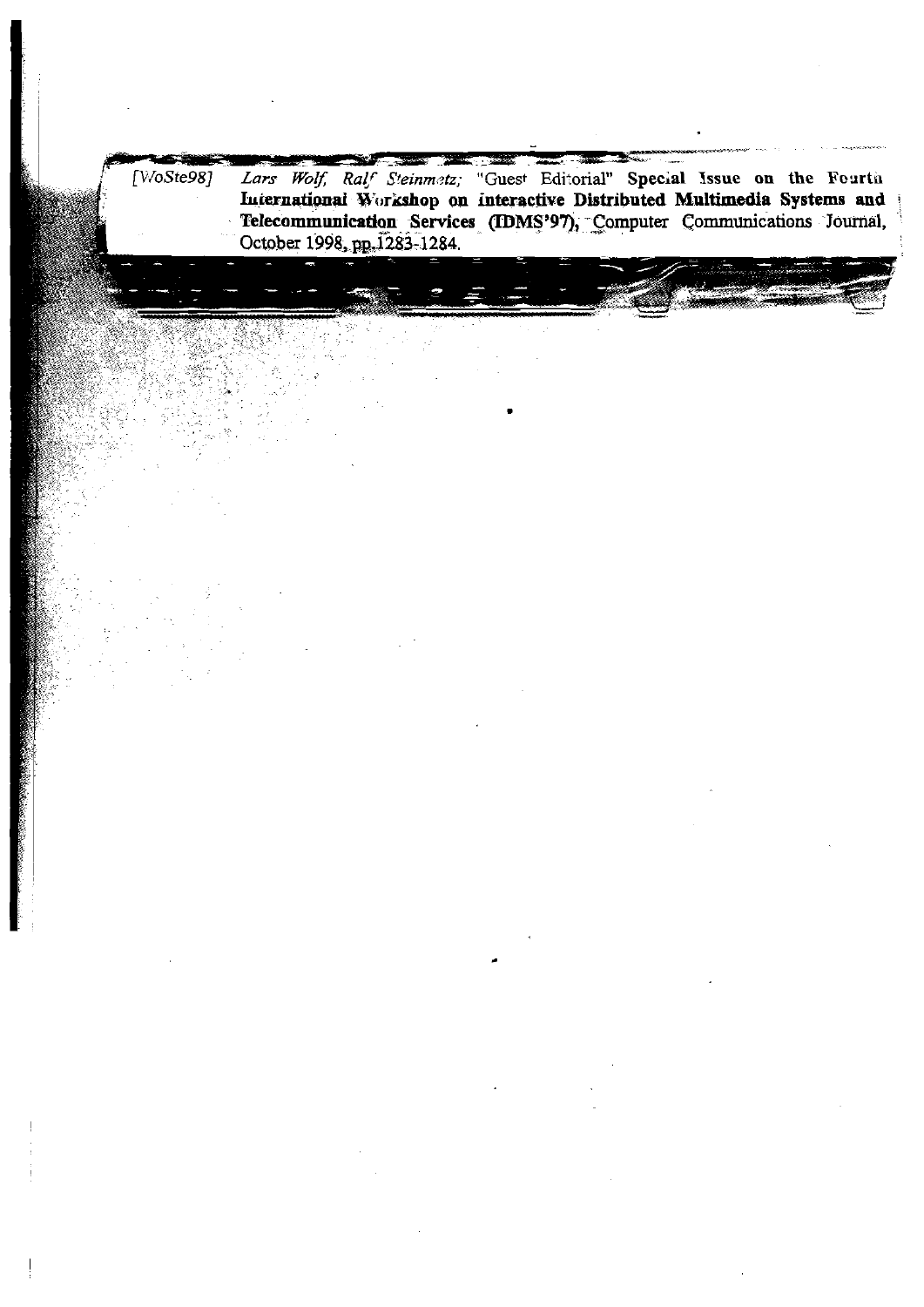Lars Wolf, Ralf Steinmetz; "Guest Editorial" Special Issue on the Fourth<br>International Workshop on interactive Distributed Multimedia Systems and<br>Telecommunication Services (IDMS'97), Computer Communications Journal,  $[V\sqrt{o}Ste98]$ October 1998, pp. 1283-1284.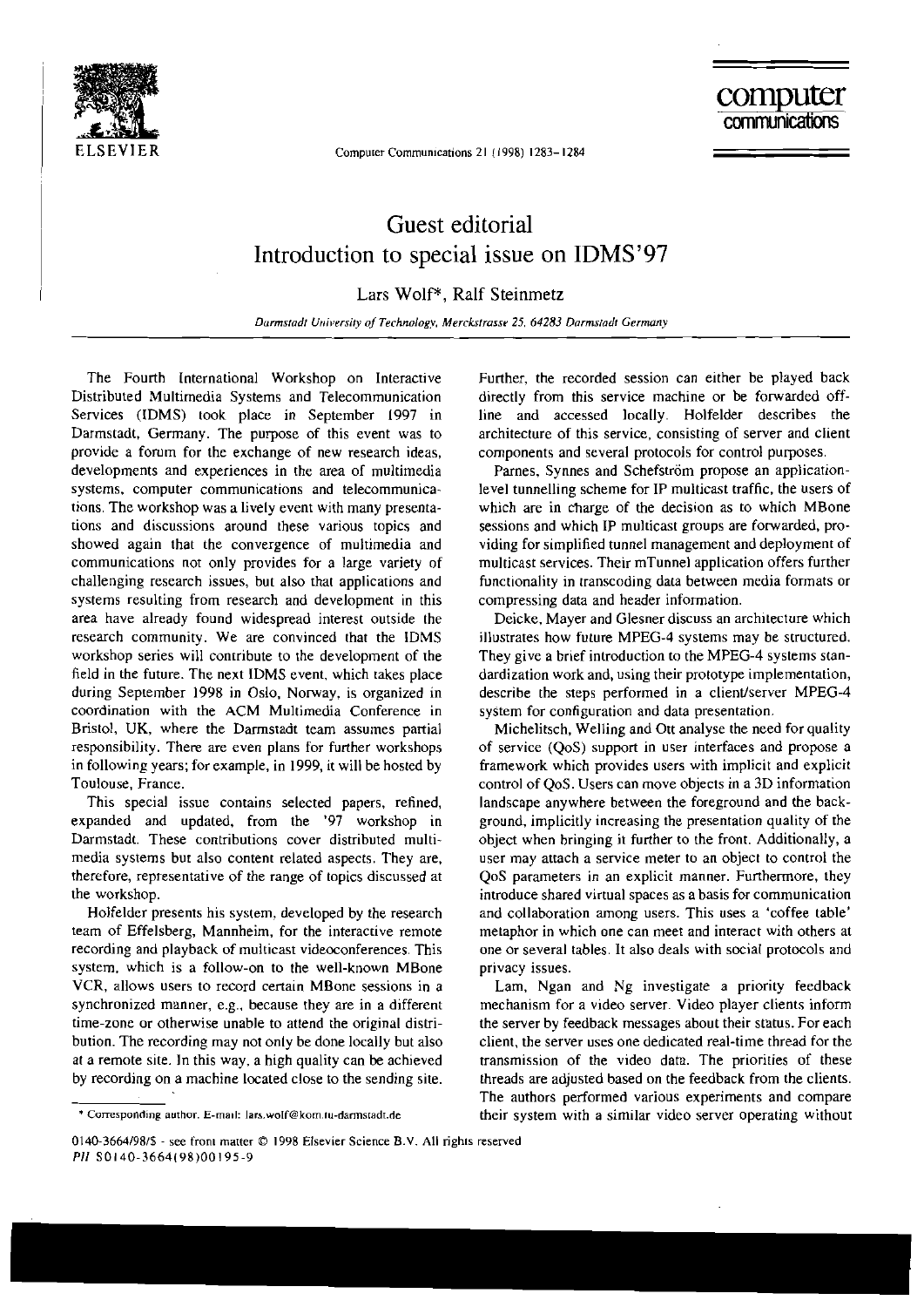

Computer Communications 21 (1998) 1283-1284

## Guest editorial Introduction to special issue on IDMS'97

Lars Wolf\*, Ralf Steinmetz

Darmstadt University of Technology, Merckstrasse 25, 64283 Darmstadt Germany

The Fourth International Workshop on lnteractive Distributed Multimedia Systems and Telecommunication Services (IDMS) took place in September 1997 in Darmstadt. Germany. The purpose of this event was to provide a fomm for the exchange of new research ideas. developments and experiences in the area of multimedia systems, computer communications and telecommunications. The workshop was a lively event with many presentations and discussions around rhese various topics and showed again that the convergence of multimedia and communications not only provides for a large variety of challenging research issues, hut also that applications and systems resulting from research and development in this area have already found widespread interest outside the research community. We are convinced that the IDMS workshop series will conrribute to the development of the field in the future. The next IDMS event, which takes place during September 1998 in Oslo. Nonvay, is organized in coordination with the ACM Multimedia Conference in Bristol, UK, where the Darmstadt team assumes partial responsibility. There are even plans for further workshops in following years; for example, in 1999, it will be hosted by Toulouse. France.

This special issue contains selected papers, refined, expanded and updated. from the '97 workshop in Darmstadt. These contributions cover distributed multimedia systems but also content related aspects. They are. therefore, representative of the range of topics discussed at the workshop.

Holfelder presents his system. developed by the research team of Effelsberg, Mannheim, for the interactive remote recording and playback of multicast videoconferences. This system. which is a follow-on to the well-known MBone VCR, allows users to record certain MBone sessions in a synchronized manner, e.g.. because they are in a different time-zone or otherwise unable to attend the original distribution. The recording may not only be done locally but also ar a remote site. In this way. a high quality can **be** achieved by recording on a machine located close to the sending site. Further, the recorded session can either be played back directly from this service machine or be fonvarded offline and accessed locally. Holfelder describes the architecture of this service. consisting of server and client components and several protocois for control purposes.

Parnes, Synnes and Schefström propose an applicationlevel tunnelling scheme for IP multicast traffic, the users of which are in charge of the decision as to which MBone sessions and which IP multicast groups are forwarded, providing for simplified tunnel management and deployment of multicast Services. Their mTunnel application offers further functionality in transcoding data between media formats or compressing data and header information.

Deicke, Mayer and Glesner discuss an architecture which illustrates how future MPEG-4 systems may be structured. They give a brief introduction to the MPEG-4 systems standardization work and, using their prototype implementation, describe the steps performed in a client/server MPEG-4 system for configuration and data presentation.

Michelitsch, Welling and Ott analyse the need for quality of service (QoS) support in User interfaces and propose a framework which provides users with implicit and explicit control of QoS. Users can move objects in a 3D information landscape anywhere between the foreground and the background, implicitly increasing the presentation quality of the ohject when bringing it further to the front. Additionally, a User may attach a service meter to an object to control the QoS parameters in an explicit manner. Furthermore, they introduce shared virtual spaces as a basis for communication and collaboration among users. This uses a 'coffee table' metaphor in which one can meet and interact with others at one or several tables. It also deals with social protocols and privacy issues.

Lam, Ngan and Ng investigate a priority feedback mechanism for a video server. Video player clients inform the server by feedback messages about their status. For each client, the server uses one dedicated real-time thread for the transmission of the video data. The priorities of these threads are adjusted based on the feedback from the clients. The authors performed various experiments and compare their system wirh a similar video server operating without

<sup>\*</sup> Corresponding author. E-mail: lars.wolf@kom.tu-darmstadt.de

<sup>0140-3664/98/\$ -</sup> see front matter © 1998 Elsevier Science B.V. All rights reserved *PI1* **SO140-3664198)00195-9**